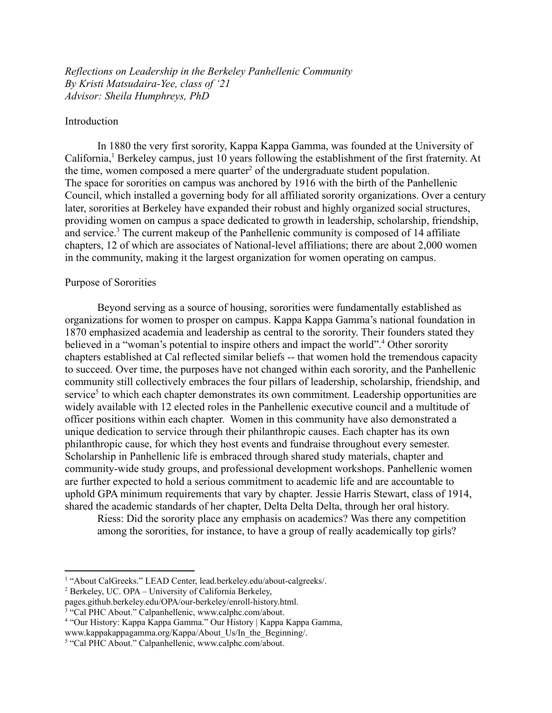*Reflections on Leadership in the Berkeley Panhellenic Community By Kristi Matsudaira-Yee, class of '21 Advisor: Sheila Humphreys, PhD*

### Introduction

In 1880 the very first sorority, Kappa Kappa Gamma, was founded at the University of California,<sup>1</sup> Berkeley campus, just 10 years following the establishment of the first fraternity. At the time, women composed a mere quarter<sup>2</sup> of the undergraduate student population. The space for sororities on campus was anchored by 1916 with the birth of the Panhellenic Council, which installed a governing body for all affiliated sorority organizations. Over a century later, sororities at Berkeley have expanded their robust and highly organized social structures, providing women on campus a space dedicated to growth in leadership, scholarship, friendship, and service.<sup>3</sup> The current makeup of the Panhellenic community is composed of 14 affiliate chapters, 12 of which are associates of National-level affiliations; there are about 2,000 women in the community, making it the largest organization for women operating on campus.

## Purpose of Sororities

Beyond serving as a source of housing, sororities were fundamentally established as organizations for women to prosper on campus. Kappa Kappa Gamma's national foundation in 1870 emphasized academia and leadership as central to the sorority. Their founders stated they believed in a "woman's potential to inspire others and impact the world".<sup>4</sup> Other sorority chapters established at Cal reflected similar beliefs -- that women hold the tremendous capacity to succeed. Over time, the purposes have not changed within each sorority, and the Panhellenic community still collectively embraces the four pillars of leadership, scholarship, friendship, and service<sup>5</sup> to which each chapter demonstrates its own commitment. Leadership opportunities are widely available with 12 elected roles in the Panhellenic executive council and a multitude of officer positions within each chapter. Women in this community have also demonstrated a unique dedication to service through their philanthropic causes. Each chapter has its own philanthropic cause, for which they host events and fundraise throughout every semester. Scholarship in Panhellenic life is embraced through shared study materials, chapter and community-wide study groups, and professional development workshops. Panhellenic women are further expected to hold a serious commitment to academic life and are accountable to uphold GPA minimum requirements that vary by chapter. Jessie Harris Stewart, class of 1914, shared the academic standards of her chapter, Delta Delta Delta, through her oral history.

Riess: Did the sorority place any emphasis on academics? Was there any competition among the sororities, for instance, to have a group of really academically top girls?

<sup>1</sup> "About CalGreeks." LEAD Center, lead.berkeley.edu/about-calgreeks/.

<sup>2</sup> Berkeley, UC. OPA – University of California Berkeley,

pages.github.berkeley.edu/OPA/our-berkeley/enroll-history.html.

<sup>&</sup>lt;sup>3</sup> "Cal PHC About." Calpanhellenic, www.calphc.com/about.

<sup>4</sup> "Our History: Kappa Kappa Gamma." Our History | Kappa Kappa Gamma,

www.kappakappagamma.org/Kappa/About\_Us/In\_the\_Beginning/.

<sup>5</sup> "Cal PHC About." Calpanhellenic, www.calphc.com/about.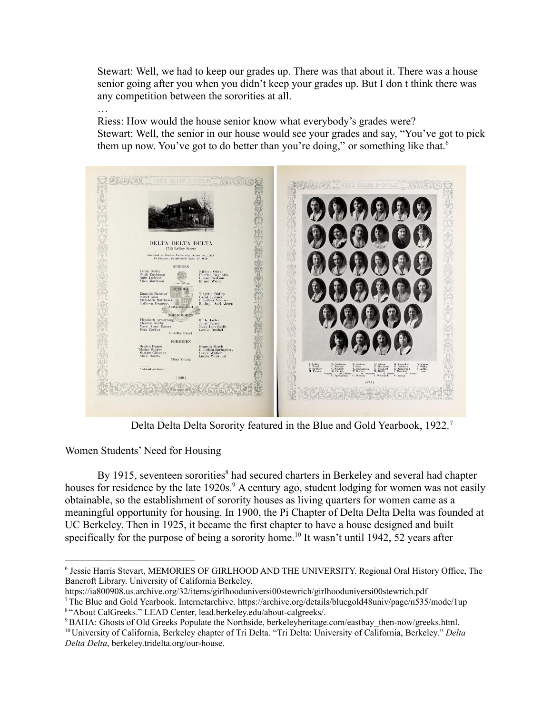Stewart: Well, we had to keep our grades up. There was that about it. There was a house senior going after you when you didn't keep your grades up. But I don t think there was any competition between the sororities at all.

… Riess: How would the house senior know what everybody's grades were? Stewart: Well, the senior in our house would see your grades and say, "You've got to pick them up now. You've got to do better than you're doing," or something like that.<sup>6</sup>



Delta Delta Delta Sorority featured in the Blue and Gold Yearbook, 1922.<sup>7</sup>

Women Students' Need for Housing

By 1915, seventeen sororities<sup>8</sup> had secured charters in Berkeley and several had chapter houses for residence by the late 1920s.<sup>9</sup> A century ago, student lodging for women was not easily obtainable, so the establishment of sorority houses as living quarters for women came as a meaningful opportunity for housing. In 1900, the Pi Chapter of Delta Delta Delta was founded at UC Berkeley. Then in 1925, it became the first chapter to have a house designed and built specifically for the purpose of being a sorority home.<sup>10</sup> It wasn't until 1942, 52 years after

<sup>6</sup> Jessie Harris Stevart, MEMORIES OF GIRLHOOD AND THE UNIVERSITY. Regional Oral History Office, The Bancroft Library. University of California Berkeley.

https://ia800908.us.archive.org/32/items/girlhooduniversi00stewrich/girlhooduniversi00stewrich.pdf

<sup>8</sup> "About CalGreeks." LEAD Center, lead.berkeley.edu/about-calgreeks/. <sup>7</sup>The Blue and Gold Yearbook. Internetarchive. https://archive.org/details/bluegold48univ/page/n535/mode/1up

<sup>&</sup>lt;sup>9</sup>BAHA: Ghosts of Old Greeks Populate the Northside, berkeleyheritage.com/eastbay\_then-now/greeks.html.

<sup>10</sup> University of California, Berkeley chapter of Tri Delta. "Tri Delta: University of California, Berkeley." *Delta Delta Delta*, berkeley.tridelta.org/our-house.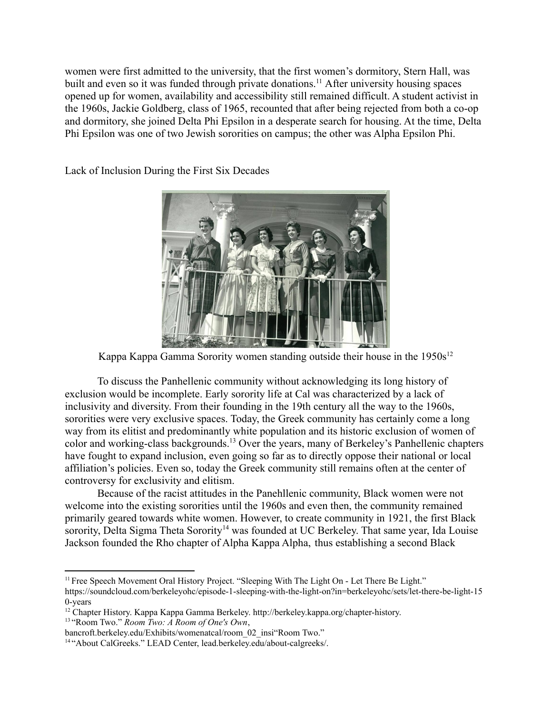women were first admitted to the university, that the first women's dormitory, Stern Hall, was built and even so it was funded through private donations.<sup>11</sup> After university housing spaces opened up for women, availability and accessibility still remained difficult. A student activist in the 1960s, Jackie Goldberg, class of 1965, recounted that after being rejected from both a co-op and dormitory, she joined Delta Phi Epsilon in a desperate search for housing. At the time, Delta Phi Epsilon was one of two Jewish sororities on campus; the other was Alpha Epsilon Phi.

Lack of Inclusion During the First Six Decades



Kappa Kappa Gamma Sorority women standing outside their house in the  $1950s^{12}$ 

To discuss the Panhellenic community without acknowledging its long history of exclusion would be incomplete. Early sorority life at Cal was characterized by a lack of inclusivity and diversity. From their founding in the 19th century all the way to the 1960s, sororities were very exclusive spaces. Today, the Greek community has certainly come a long way from its elitist and predominantly white population and its historic exclusion of women of color and working-class backgrounds.<sup>13</sup> Over the years, many of Berkeley's Panhellenic chapters have fought to expand inclusion, even going so far as to directly oppose their national or local affiliation's policies. Even so, today the Greek community still remains often at the center of controversy for exclusivity and elitism.

Because of the racist attitudes in the Panehllenic community, Black women were not welcome into the existing sororities until the 1960s and even then, the community remained primarily geared towards white women. However, to create community in 1921, the first Black sorority, Delta Sigma Theta Sorority<sup>14</sup> was founded at UC Berkeley. That same year, Ida Louise Jackson founded the Rho chapter of Alpha Kappa Alpha, thus establishing a second Black

<sup>&</sup>lt;sup>11</sup> Free Speech Movement Oral History Project. "Sleeping With The Light On - Let There Be Light." https://soundcloud.com/berkeleyohc/episode-1-sleeping-with-the-light-on?in=berkeleyohc/sets/let-there-be-light-15 0-years

<sup>&</sup>lt;sup>12</sup> Chapter History. Kappa Kappa Gamma Berkeley. http://berkeley.kappa.org/chapter-history.

<sup>13</sup> "Room Two." *Room Two: A Room of One's Own*,

bancroft.berkeley.edu/Exhibits/womenatcal/room\_02\_insi"Room Two."

<sup>14</sup> "About CalGreeks." LEAD Center, lead.berkeley.edu/about-calgreeks/.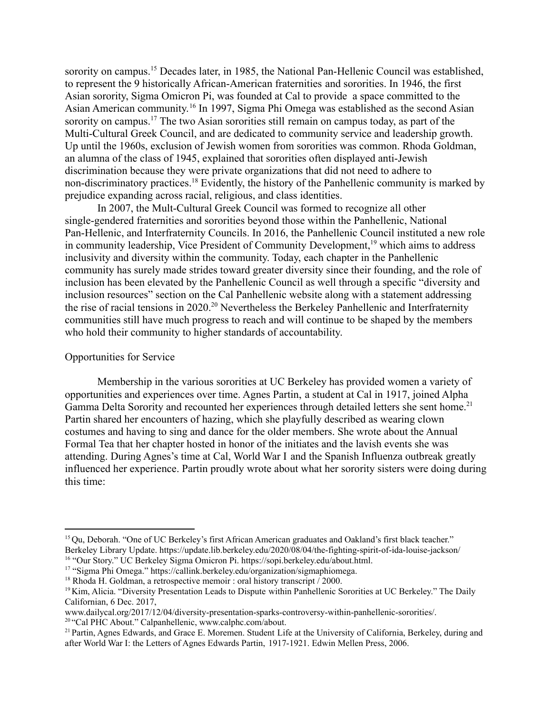sorority on campus.<sup>15</sup> Decades later, in 1985, the National Pan-Hellenic Council was established, to represent the 9 historically African-American fraternities and sororities. In 1946, the first Asian sorority, Sigma Omicron Pi, was founded at Cal to provide a space committed to the Asian American community. 16 In 1997, Sigma Phi Omega was established as the second Asian sorority on campus.<sup>17</sup> The two Asian sororities still remain on campus today, as part of the Multi-Cultural Greek Council, and are dedicated to community service and leadership growth. Up until the 1960s, exclusion of Jewish women from sororities was common. Rhoda Goldman, an alumna of the class of 1945, explained that sororities often displayed anti-Jewish discrimination because they were private organizations that did not need to adhere to non-discriminatory practices.<sup>18</sup> Evidently, the history of the Panhellenic community is marked by prejudice expanding across racial, religious, and class identities.

In 2007, the Mult-Cultural Greek Council was formed to recognize all other single-gendered fraternities and sororities beyond those within the Panhellenic, National Pan-Hellenic, and Interfraternity Councils. In 2016, the Panhellenic Council instituted a new role in community leadership, Vice President of Community Development,<sup>19</sup> which aims to address inclusivity and diversity within the community. Today, each chapter in the Panhellenic community has surely made strides toward greater diversity since their founding, and the role of inclusion has been elevated by the Panhellenic Council as well through a specific "diversity and inclusion resources" section on the Cal Panhellenic website along with a statement addressing the rise of racial tensions in 2020.<sup>20</sup> Nevertheless the Berkeley Panhellenic and Interfraternity communities still have much progress to reach and will continue to be shaped by the members who hold their community to higher standards of accountability.

#### Opportunities for Service

Membership in the various sororities at UC Berkeley has provided women a variety of opportunities and experiences over time. Agnes Partin, a student at Cal in 1917, joined Alpha Gamma Delta Sorority and recounted her experiences through detailed letters she sent home.<sup>21</sup> Partin shared her encounters of hazing, which she playfully described as wearing clown costumes and having to sing and dance for the older members. She wrote about the Annual Formal Tea that her chapter hosted in honor of the initiates and the lavish events she was attending. During Agnes's time at Cal, World War I and the Spanish Influenza outbreak greatly influenced her experience. Partin proudly wrote about what her sorority sisters were doing during this time:

<sup>&</sup>lt;sup>15</sup> Qu, Deborah. "One of UC Berkeley's first African American graduates and Oakland's first black teacher." Berkeley Library Update. https://update.lib.berkeley.edu/2020/08/04/the-fighting-spirit-of-ida-louise-jackson/

<sup>16</sup> "Our Story." UC Berkeley Sigma Omicron Pi. https://sopi.berkeley.edu/about.html.

<sup>17</sup> "Sigma Phi Omega." https://callink.berkeley.edu/organization/sigmaphiomega.

<sup>&</sup>lt;sup>18</sup> Rhoda H. Goldman, a retrospective memoir : oral history transcript / 2000.

<sup>19</sup> Kim, Alicia. "Diversity Presentation Leads to Dispute within Panhellenic Sororities at UC Berkeley." The Daily Californian, 6 Dec. 2017,

<sup>20</sup> "Cal PHC About." Calpanhellenic, www.calphc.com/about. www.dailycal.org/2017/12/04/diversity-presentation-sparks-controversy-within-panhellenic-sororities/.

<sup>&</sup>lt;sup>21</sup> Partin, Agnes Edwards, and Grace E. Moremen. Student Life at the University of California, Berkeley, during and after World War I: the Letters of Agnes Edwards Partin, 1917-1921. Edwin Mellen Press, 2006.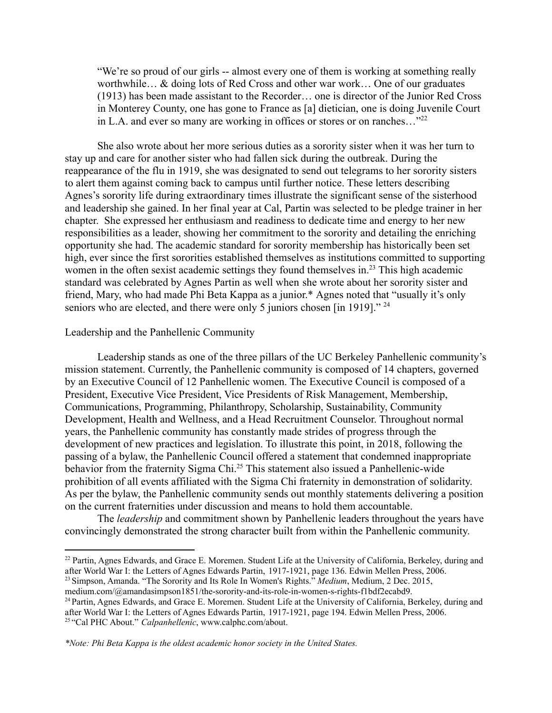"We're so proud of our girls -- almost every one of them is working at something really worthwhile… & doing lots of Red Cross and other war work… One of our graduates (1913) has been made assistant to the Recorder… one is director of the Junior Red Cross in Monterey County, one has gone to France as [a] dietician, one is doing Juvenile Court in L.A. and ever so many are working in offices or stores or on ranches..."<sup>22</sup>

She also wrote about her more serious duties as a sorority sister when it was her turn to stay up and care for another sister who had fallen sick during the outbreak. During the reappearance of the flu in 1919, she was designated to send out telegrams to her sorority sisters to alert them against coming back to campus until further notice. These letters describing Agnes's sorority life during extraordinary times illustrate the significant sense of the sisterhood and leadership she gained. In her final year at Cal, Partin was selected to be pledge trainer in her chapter. She expressed her enthusiasm and readiness to dedicate time and energy to her new responsibilities as a leader, showing her commitment to the sorority and detailing the enriching opportunity she had. The academic standard for sorority membership has historically been set high, ever since the first sororities established themselves as institutions committed to supporting women in the often sexist academic settings they found themselves in.<sup>23</sup> This high academic standard was celebrated by Agnes Partin as well when she wrote about her sorority sister and friend, Mary, who had made Phi Beta Kappa as a junior.\* Agnes noted that "usually it's only seniors who are elected, and there were only 5 juniors chosen [in 1919]." <sup>24</sup>

## Leadership and the Panhellenic Community

Leadership stands as one of the three pillars of the UC Berkeley Panhellenic community's mission statement. Currently, the Panhellenic community is composed of 14 chapters, governed by an Executive Council of 12 Panhellenic women. The Executive Council is composed of a President, Executive Vice President, Vice Presidents of Risk Management, Membership, Communications, Programming, Philanthropy, Scholarship, Sustainability, Community Development, Health and Wellness, and a Head Recruitment Counselor. Throughout normal years, the Panhellenic community has constantly made strides of progress through the development of new practices and legislation. To illustrate this point, in 2018, following the passing of a bylaw, the Panhellenic Council offered a statement that condemned inappropriate behavior from the fraternity Sigma Chi.<sup>25</sup> This statement also issued a Panhellenic-wide prohibition of all events affiliated with the Sigma Chi fraternity in demonstration of solidarity. As per the bylaw, the Panhellenic community sends out monthly statements delivering a position on the current fraternities under discussion and means to hold them accountable.

The *leadership* and commitment shown by Panhellenic leaders throughout the years have convincingly demonstrated the strong character built from within the Panhellenic community.

<sup>23</sup> Simpson, Amanda. "The Sorority and Its Role In Women's Rights." *Medium*, Medium, 2 Dec. 2015, <sup>22</sup> Partin, Agnes Edwards, and Grace E. Moremen. Student Life at the University of California, Berkeley, during and after World War I: the Letters of Agnes Edwards Partin, 1917-1921, page 136. Edwin Mellen Press, 2006.

medium.com/@amandasimpson1851/the-sorority-and-its-role-in-women-s-rights-f1bdf2ecabd9.

<sup>24</sup> Partin, Agnes Edwards, and Grace E. Moremen. Student Life at the University of California, Berkeley, during and

<sup>25</sup> "Cal PHC About." *Calpanhellenic*, www.calphc.com/about. after World War I: the Letters of Agnes Edwards Partin, 1917-1921, page 194. Edwin Mellen Press, 2006.

*\*Note: Phi Beta Kappa is the oldest academic honor society in the United States.*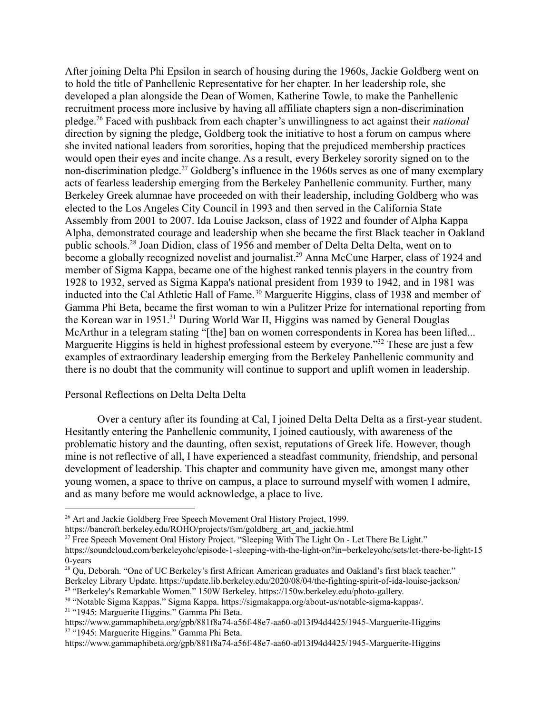After joining Delta Phi Epsilon in search of housing during the 1960s, Jackie Goldberg went on to hold the title of Panhellenic Representative for her chapter. In her leadership role, she developed a plan alongside the Dean of Women, Katherine Towle, to make the Panhellenic recruitment process more inclusive by having all affiliate chapters sign a non-discrimination pledge.<sup>26</sup> Faced with pushback from each chapter's unwillingness to act against their *national* direction by signing the pledge, Goldberg took the initiative to host a forum on campus where she invited national leaders from sororities, hoping that the prejudiced membership practices would open their eyes and incite change. As a result, every Berkeley sorority signed on to the non-discrimination pledge.<sup>27</sup> Goldberg's influence in the 1960s serves as one of many exemplary acts of fearless leadership emerging from the Berkeley Panhellenic community. Further, many Berkeley Greek alumnae have proceeded on with their leadership, including Goldberg who was elected to the Los Angeles City Council in 1993 and then served in the California State Assembly from 2001 to 2007. Ida Louise Jackson, class of 1922 and founder of Alpha Kappa Alpha, demonstrated courage and leadership when she became the first Black teacher in Oakland public schools.<sup>28</sup> Joan Didion, class of 1956 and member of Delta Delta Delta, went on to become a globally recognized novelist and journalist.<sup>29</sup> Anna McCune Harper, class of 1924 and member of Sigma Kappa, became one of the highest ranked tennis players in the country from 1928 to 1932, served as Sigma Kappa's national president from 1939 to 1942, and in 1981 was inducted into the Cal Athletic Hall of Fame.<sup>30</sup> Marguerite Higgins, class of 1938 and member of Gamma Phi Beta, became the first woman to win a Pulitzer Prize for international reporting from the Korean war in 1951.<sup>31</sup> During World War II, Higgins was named by General Douglas McArthur in a telegram stating "[the] ban on women correspondents in Korea has been lifted... Marguerite Higgins is held in highest professional esteem by everyone."<sup>32</sup> These are just a few examples of extraordinary leadership emerging from the Berkeley Panhellenic community and there is no doubt that the community will continue to support and uplift women in leadership.

### Personal Reflections on Delta Delta Delta

Over a century after its founding at Cal, I joined Delta Delta Delta as a first-year student. Hesitantly entering the Panhellenic community, I joined cautiously, with awareness of the problematic history and the daunting, often sexist, reputations of Greek life. However, though mine is not reflective of all, I have experienced a steadfast community, friendship, and personal development of leadership. This chapter and community have given me, amongst many other young women, a space to thrive on campus, a place to surround myself with women I admire, and as many before me would acknowledge, a place to live.

<sup>&</sup>lt;sup>26</sup> Art and Jackie Goldberg Free Speech Movement Oral History Project, 1999. https://bancroft.berkeley.edu/ROHO/projects/fsm/goldberg\_art\_and\_jackie.html

<sup>&</sup>lt;sup>27</sup> Free Speech Movement Oral History Project. "Sleeping With The Light On - Let There Be Light."

https://soundcloud.com/berkeleyohc/episode-1-sleeping-with-the-light-on?in=berkeleyohc/sets/let-there-be-light-15 0-years

 $^{28}$  Qu, Deborah. "One of UC Berkeley's first African American graduates and Oakland's first black teacher." Berkeley Library Update. https://update.lib.berkeley.edu/2020/08/04/the-fighting-spirit-of-ida-louise-jackson/

<sup>29</sup> "Berkeley's Remarkable Women." 150W Berkeley. https://150w.berkeley.edu/photo-gallery.

<sup>31</sup> "1945: Marguerite Higgins." Gamma Phi Beta. <sup>30</sup> "Notable Sigma Kappas." Sigma Kappa. https://sigmakappa.org/about-us/notable-sigma-kappas/.

<sup>32</sup> "1945: Marguerite Higgins." Gamma Phi Beta. https://www.gammaphibeta.org/gpb/881f8a74-a56f-48e7-aa60-a013f94d4425/1945-Marguerite-Higgins

https://www.gammaphibeta.org/gpb/881f8a74-a56f-48e7-aa60-a013f94d4425/1945-Marguerite-Higgins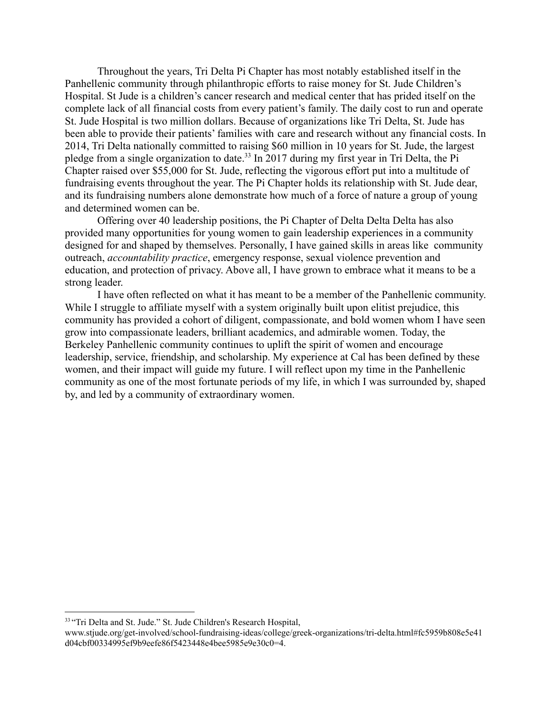Throughout the years, Tri Delta Pi Chapter has most notably established itself in the Panhellenic community through philanthropic efforts to raise money for St. Jude Children's Hospital. St Jude is a children's cancer research and medical center that has prided itself on the complete lack of all financial costs from every patient's family. The daily cost to run and operate St. Jude Hospital is two million dollars. Because of organizations like Tri Delta, St. Jude has been able to provide their patients' families with care and research without any financial costs. In 2014, Tri Delta nationally committed to raising \$60 million in 10 years for St. Jude, the largest pledge from a single organization to date.<sup>33</sup> In 2017 during my first year in Tri Delta, the Pi Chapter raised over \$55,000 for St. Jude, reflecting the vigorous effort put into a multitude of fundraising events throughout the year. The Pi Chapter holds its relationship with St. Jude dear, and its fundraising numbers alone demonstrate how much of a force of nature a group of young and determined women can be.

Offering over 40 leadership positions, the Pi Chapter of Delta Delta Delta has also provided many opportunities for young women to gain leadership experiences in a community designed for and shaped by themselves. Personally, I have gained skills in areas like community outreach, *accountability practice*, emergency response, sexual violence prevention and education, and protection of privacy. Above all, I have grown to embrace what it means to be a strong leader.

I have often reflected on what it has meant to be a member of the Panhellenic community. While I struggle to affiliate myself with a system originally built upon elitist prejudice, this community has provided a cohort of diligent, compassionate, and bold women whom I have seen grow into compassionate leaders, brilliant academics, and admirable women. Today, the Berkeley Panhellenic community continues to uplift the spirit of women and encourage leadership, service, friendship, and scholarship. My experience at Cal has been defined by these women, and their impact will guide my future. I will reflect upon my time in the Panhellenic community as one of the most fortunate periods of my life, in which I was surrounded by, shaped by, and led by a community of extraordinary women.

<sup>&</sup>lt;sup>33</sup> "Tri Delta and St. Jude." St. Jude Children's Research Hospital,

www.stjude.org/get-involved/school-fundraising-ideas/college/greek-organizations/tri-delta.html#fc5959b808e5e41 d04cbf00334995ef9b9eefe86f5423448e4bee5985e9e30c0=4.